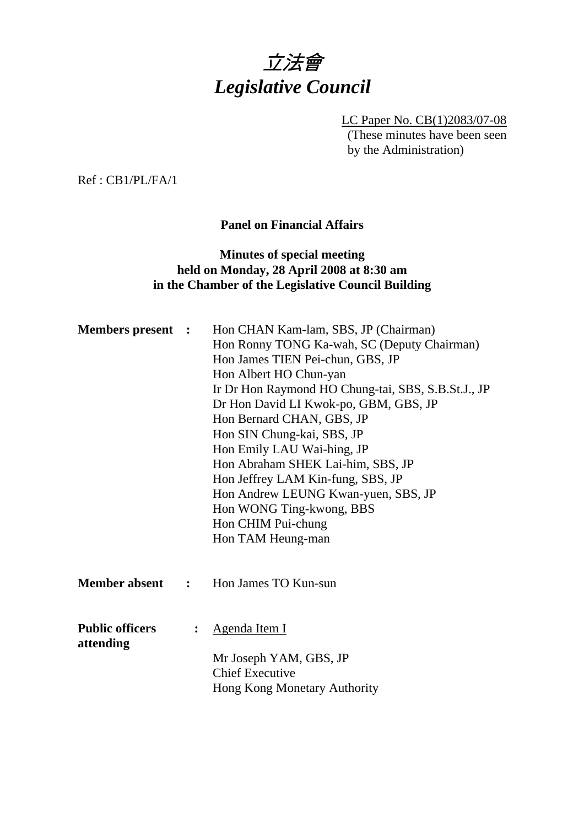

LC Paper No. CB(1)2083/07-08 (These minutes have been seen by the Administration)

Ref : CB1/PL/FA/1

#### **Panel on Financial Affairs**

## **Minutes of special meeting held on Monday, 28 April 2008 at 8:30 am in the Chamber of the Legislative Council Building**

| <b>Members present :</b>            |   | Hon CHAN Kam-lam, SBS, JP (Chairman)<br>Hon Ronny TONG Ka-wah, SC (Deputy Chairman)<br>Hon James TIEN Pei-chun, GBS, JP<br>Hon Albert HO Chun-yan<br>Ir Dr Hon Raymond HO Chung-tai, SBS, S.B.St.J., JP<br>Dr Hon David LI Kwok-po, GBM, GBS, JP<br>Hon Bernard CHAN, GBS, JP<br>Hon SIN Chung-kai, SBS, JP<br>Hon Emily LAU Wai-hing, JP<br>Hon Abraham SHEK Lai-him, SBS, JP<br>Hon Jeffrey LAM Kin-fung, SBS, JP<br>Hon Andrew LEUNG Kwan-yuen, SBS, JP<br>Hon WONG Ting-kwong, BBS<br>Hon CHIM Pui-chung<br>Hon TAM Heung-man |
|-------------------------------------|---|-----------------------------------------------------------------------------------------------------------------------------------------------------------------------------------------------------------------------------------------------------------------------------------------------------------------------------------------------------------------------------------------------------------------------------------------------------------------------------------------------------------------------------------|
| <b>Member absent :</b>              |   | Hon James TO Kun-sun                                                                                                                                                                                                                                                                                                                                                                                                                                                                                                              |
| <b>Public officers</b><br>attending | : | Agenda Item I<br>Mr Joseph YAM, GBS, JP<br><b>Chief Executive</b><br>Hong Kong Monetary Authority                                                                                                                                                                                                                                                                                                                                                                                                                                 |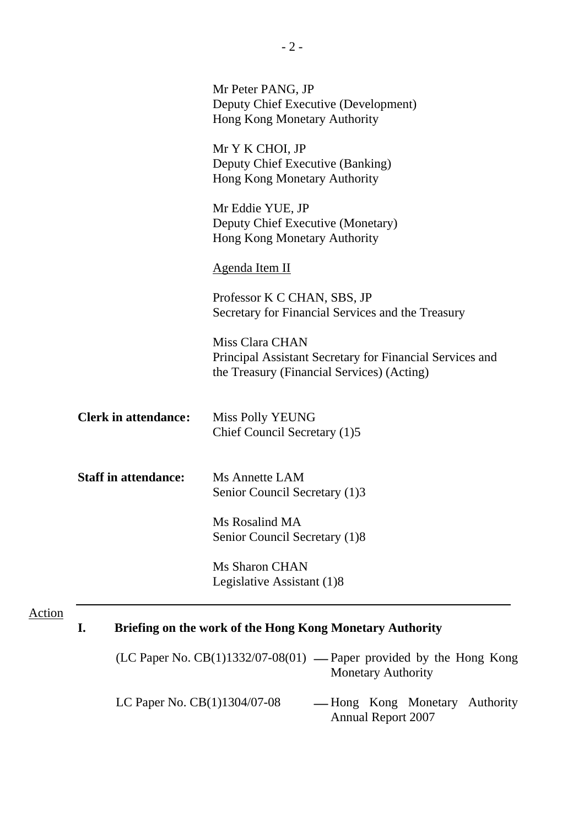|                             | Mr Peter PANG, JP<br>Deputy Chief Executive (Development)<br>Hong Kong Monetary Authority                                 |
|-----------------------------|---------------------------------------------------------------------------------------------------------------------------|
|                             | Mr Y K CHOI, JP<br>Deputy Chief Executive (Banking)<br>Hong Kong Monetary Authority                                       |
|                             | Mr Eddie YUE, JP<br>Deputy Chief Executive (Monetary)<br>Hong Kong Monetary Authority                                     |
|                             | Agenda Item II                                                                                                            |
|                             | Professor K C CHAN, SBS, JP<br>Secretary for Financial Services and the Treasury                                          |
|                             | Miss Clara CHAN<br>Principal Assistant Secretary for Financial Services and<br>the Treasury (Financial Services) (Acting) |
| <b>Clerk in attendance:</b> | Miss Polly YEUNG<br>Chief Council Secretary (1)5                                                                          |
| <b>Staff in attendance:</b> | Ms Annette LAM<br>Senior Council Secretary (1)3                                                                           |
|                             | Ms Rosalind MA<br>Senior Council Secretary (1)8                                                                           |
|                             | <b>Ms Sharon CHAN</b><br>Legislative Assistant (1)8                                                                       |

|  | $(LC$ Paper No. $CB(1)1332/07-08(01)$ — Paper provided by the Hong Kong |  |
|--|-------------------------------------------------------------------------|--|
|  | <b>Monetary Authority</b>                                               |  |

| LC Paper No. $CB(1)1304/07-08$ |                           |  | — Hong Kong Monetary Authority |  |
|--------------------------------|---------------------------|--|--------------------------------|--|
|                                | <b>Annual Report 2007</b> |  |                                |  |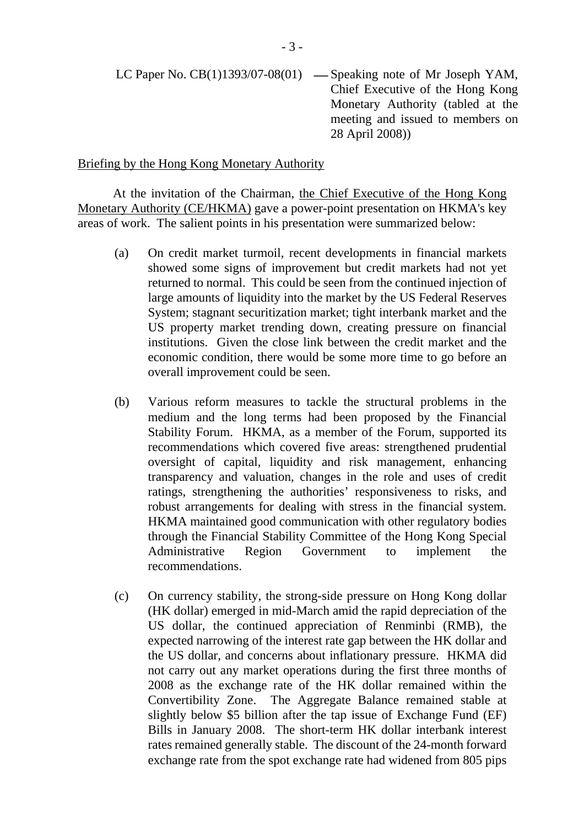LC Paper No.  $CB(1)1393/07-08(01)$  — Speaking note of Mr Joseph YAM, Chief Executive of the Hong Kong Monetary Authority (tabled at the meeting and issued to members on 28 April 2008))

#### Briefing by the Hong Kong Monetary Authority

At the invitation of the Chairman, the Chief Executive of the Hong Kong Monetary Authority (CE/HKMA) gave a power-point presentation on HKMA's key areas of work. The salient points in his presentation were summarized below:

- (a) On credit market turmoil, recent developments in financial markets showed some signs of improvement but credit markets had not yet returned to normal. This could be seen from the continued injection of large amounts of liquidity into the market by the US Federal Reserves System; stagnant securitization market; tight interbank market and the US property market trending down, creating pressure on financial institutions. Given the close link between the credit market and the economic condition, there would be some more time to go before an overall improvement could be seen.
- (b) Various reform measures to tackle the structural problems in the medium and the long terms had been proposed by the Financial Stability Forum. HKMA, as a member of the Forum, supported its recommendations which covered five areas: strengthened prudential oversight of capital, liquidity and risk management, enhancing transparency and valuation, changes in the role and uses of credit ratings, strengthening the authorities' responsiveness to risks, and robust arrangements for dealing with stress in the financial system. HKMA maintained good communication with other regulatory bodies through the Financial Stability Committee of the Hong Kong Special Administrative Region Government to implement the recommendations.
- (c) On currency stability, the strong-side pressure on Hong Kong dollar (HK dollar) emerged in mid-March amid the rapid depreciation of the US dollar, the continued appreciation of Renminbi (RMB), the expected narrowing of the interest rate gap between the HK dollar and the US dollar, and concerns about inflationary pressure. HKMA did not carry out any market operations during the first three months of 2008 as the exchange rate of the HK dollar remained within the Convertibility Zone. The Aggregate Balance remained stable at slightly below \$5 billion after the tap issue of Exchange Fund (EF) Bills in January 2008. The short-term HK dollar interbank interest rates remained generally stable. The discount of the 24-month forward exchange rate from the spot exchange rate had widened from 805 pips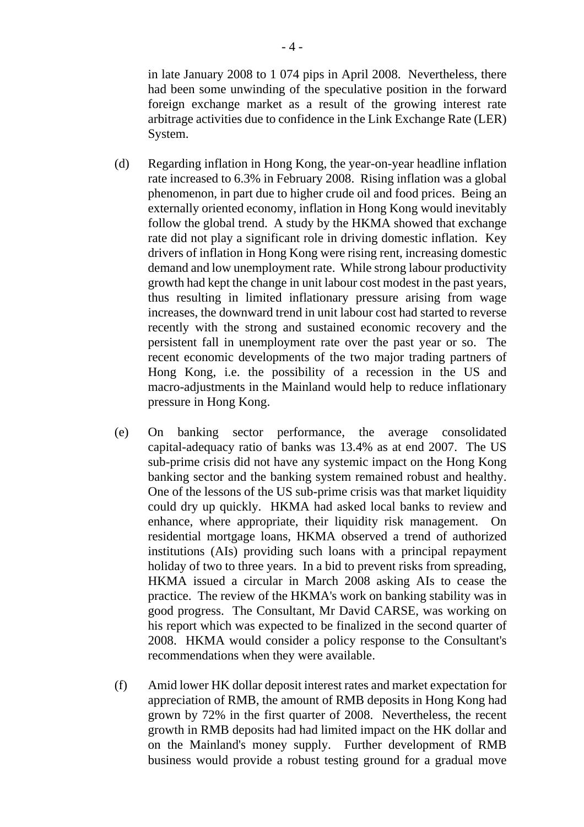in late January 2008 to 1 074 pips in April 2008. Nevertheless, there had been some unwinding of the speculative position in the forward foreign exchange market as a result of the growing interest rate arbitrage activities due to confidence in the Link Exchange Rate (LER) System.

- (d) Regarding inflation in Hong Kong, the year-on-year headline inflation rate increased to 6.3% in February 2008. Rising inflation was a global phenomenon, in part due to higher crude oil and food prices. Being an externally oriented economy, inflation in Hong Kong would inevitably follow the global trend. A study by the HKMA showed that exchange rate did not play a significant role in driving domestic inflation. Key drivers of inflation in Hong Kong were rising rent, increasing domestic demand and low unemployment rate. While strong labour productivity growth had kept the change in unit labour cost modest in the past years, thus resulting in limited inflationary pressure arising from wage increases, the downward trend in unit labour cost had started to reverse recently with the strong and sustained economic recovery and the persistent fall in unemployment rate over the past year or so. The recent economic developments of the two major trading partners of Hong Kong, i.e. the possibility of a recession in the US and macro-adjustments in the Mainland would help to reduce inflationary pressure in Hong Kong.
- (e) On banking sector performance, the average consolidated capital-adequacy ratio of banks was 13.4% as at end 2007. The US sub-prime crisis did not have any systemic impact on the Hong Kong banking sector and the banking system remained robust and healthy. One of the lessons of the US sub-prime crisis was that market liquidity could dry up quickly. HKMA had asked local banks to review and enhance, where appropriate, their liquidity risk management. On residential mortgage loans, HKMA observed a trend of authorized institutions (AIs) providing such loans with a principal repayment holiday of two to three years. In a bid to prevent risks from spreading, HKMA issued a circular in March 2008 asking AIs to cease the practice. The review of the HKMA's work on banking stability was in good progress. The Consultant, Mr David CARSE, was working on his report which was expected to be finalized in the second quarter of 2008. HKMA would consider a policy response to the Consultant's recommendations when they were available.
- (f) Amid lower HK dollar deposit interest rates and market expectation for appreciation of RMB, the amount of RMB deposits in Hong Kong had grown by 72% in the first quarter of 2008. Nevertheless, the recent growth in RMB deposits had had limited impact on the HK dollar and on the Mainland's money supply. Further development of RMB business would provide a robust testing ground for a gradual move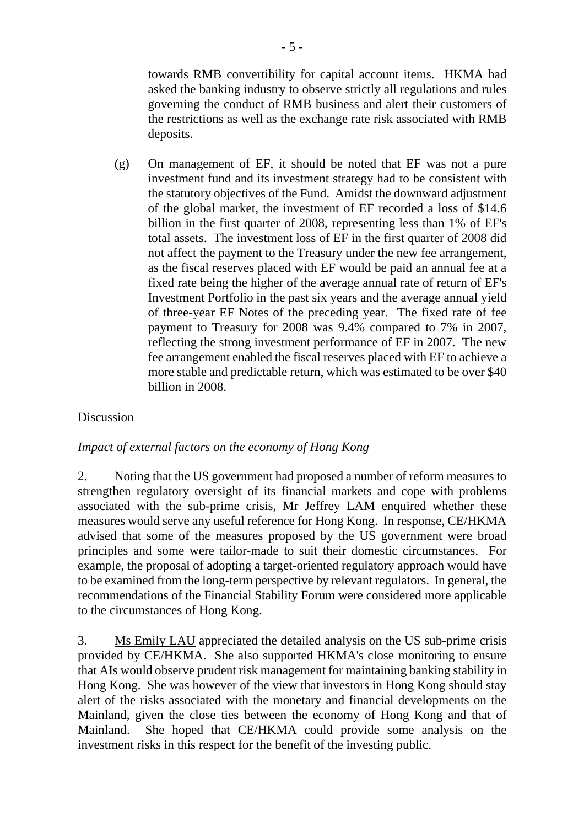towards RMB convertibility for capital account items. HKMA had asked the banking industry to observe strictly all regulations and rules governing the conduct of RMB business and alert their customers of the restrictions as well as the exchange rate risk associated with RMB deposits.

(g) On management of EF, it should be noted that EF was not a pure investment fund and its investment strategy had to be consistent with the statutory objectives of the Fund. Amidst the downward adjustment of the global market, the investment of EF recorded a loss of \$14.6 billion in the first quarter of 2008, representing less than 1% of EF's total assets. The investment loss of EF in the first quarter of 2008 did not affect the payment to the Treasury under the new fee arrangement, as the fiscal reserves placed with EF would be paid an annual fee at a fixed rate being the higher of the average annual rate of return of EF's Investment Portfolio in the past six years and the average annual yield of three-year EF Notes of the preceding year. The fixed rate of fee payment to Treasury for 2008 was 9.4% compared to 7% in 2007, reflecting the strong investment performance of EF in 2007. The new fee arrangement enabled the fiscal reserves placed with EF to achieve a more stable and predictable return, which was estimated to be over \$40 billion in 2008.

### Discussion

#### *Impact of external factors on the economy of Hong Kong*

2. Noting that the US government had proposed a number of reform measures to strengthen regulatory oversight of its financial markets and cope with problems associated with the sub-prime crisis, Mr Jeffrey LAM enquired whether these measures would serve any useful reference for Hong Kong. In response, CE/HKMA advised that some of the measures proposed by the US government were broad principles and some were tailor-made to suit their domestic circumstances. For example, the proposal of adopting a target-oriented regulatory approach would have to be examined from the long-term perspective by relevant regulators. In general, the recommendations of the Financial Stability Forum were considered more applicable to the circumstances of Hong Kong.

3. Ms Emily LAU appreciated the detailed analysis on the US sub-prime crisis provided by CE/HKMA. She also supported HKMA's close monitoring to ensure that AIs would observe prudent risk management for maintaining banking stability in Hong Kong. She was however of the view that investors in Hong Kong should stay alert of the risks associated with the monetary and financial developments on the Mainland, given the close ties between the economy of Hong Kong and that of Mainland. She hoped that CE/HKMA could provide some analysis on the investment risks in this respect for the benefit of the investing public.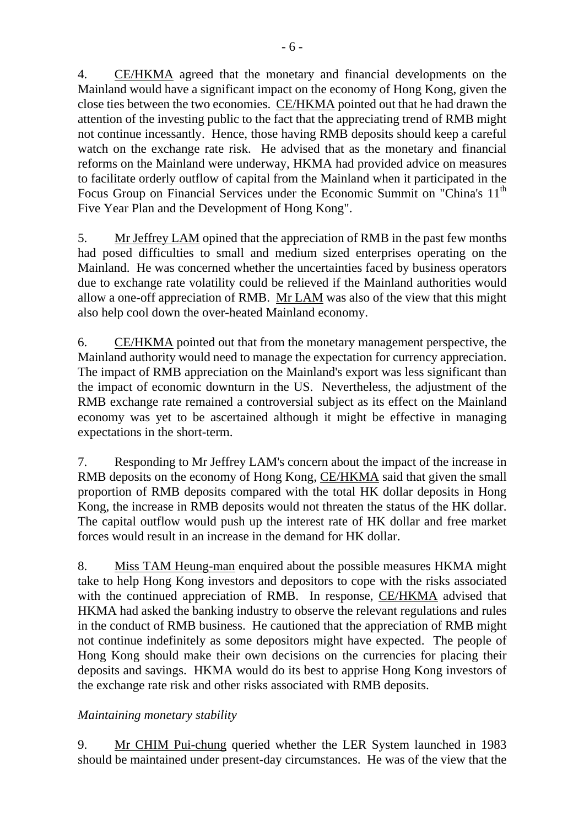4. CE/HKMA agreed that the monetary and financial developments on the Mainland would have a significant impact on the economy of Hong Kong, given the close ties between the two economies. CE/HKMA pointed out that he had drawn the attention of the investing public to the fact that the appreciating trend of RMB might not continue incessantly. Hence, those having RMB deposits should keep a careful watch on the exchange rate risk. He advised that as the monetary and financial reforms on the Mainland were underway, HKMA had provided advice on measures to facilitate orderly outflow of capital from the Mainland when it participated in the Focus Group on Financial Services under the Economic Summit on "China's 11<sup>th</sup>

5. Mr Jeffrey LAM opined that the appreciation of RMB in the past few months had posed difficulties to small and medium sized enterprises operating on the Mainland. He was concerned whether the uncertainties faced by business operators due to exchange rate volatility could be relieved if the Mainland authorities would allow a one-off appreciation of RMB. Mr LAM was also of the view that this might also help cool down the over-heated Mainland economy.

Five Year Plan and the Development of Hong Kong".

6. CE/HKMA pointed out that from the monetary management perspective, the Mainland authority would need to manage the expectation for currency appreciation. The impact of RMB appreciation on the Mainland's export was less significant than the impact of economic downturn in the US. Nevertheless, the adjustment of the RMB exchange rate remained a controversial subject as its effect on the Mainland economy was yet to be ascertained although it might be effective in managing expectations in the short-term.

7. Responding to Mr Jeffrey LAM's concern about the impact of the increase in RMB deposits on the economy of Hong Kong, CE/HKMA said that given the small proportion of RMB deposits compared with the total HK dollar deposits in Hong Kong, the increase in RMB deposits would not threaten the status of the HK dollar. The capital outflow would push up the interest rate of HK dollar and free market forces would result in an increase in the demand for HK dollar.

8. Miss TAM Heung-man enquired about the possible measures HKMA might take to help Hong Kong investors and depositors to cope with the risks associated with the continued appreciation of RMB. In response, CE/HKMA advised that HKMA had asked the banking industry to observe the relevant regulations and rules in the conduct of RMB business. He cautioned that the appreciation of RMB might not continue indefinitely as some depositors might have expected. The people of Hong Kong should make their own decisions on the currencies for placing their deposits and savings. HKMA would do its best to apprise Hong Kong investors of the exchange rate risk and other risks associated with RMB deposits.

# *Maintaining monetary stability*

9. Mr CHIM Pui-chung queried whether the LER System launched in 1983 should be maintained under present-day circumstances. He was of the view that the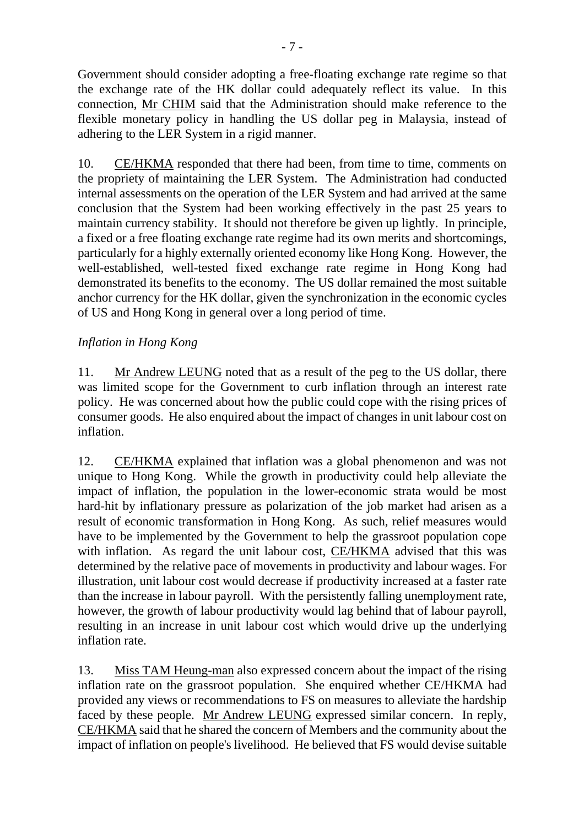Government should consider adopting a free-floating exchange rate regime so that the exchange rate of the HK dollar could adequately reflect its value. In this connection, Mr CHIM said that the Administration should make reference to the flexible monetary policy in handling the US dollar peg in Malaysia, instead of adhering to the LER System in a rigid manner.

10. CE/HKMA responded that there had been, from time to time, comments on the propriety of maintaining the LER System. The Administration had conducted internal assessments on the operation of the LER System and had arrived at the same conclusion that the System had been working effectively in the past 25 years to maintain currency stability. It should not therefore be given up lightly. In principle, a fixed or a free floating exchange rate regime had its own merits and shortcomings, particularly for a highly externally oriented economy like Hong Kong. However, the well-established, well-tested fixed exchange rate regime in Hong Kong had demonstrated its benefits to the economy. The US dollar remained the most suitable anchor currency for the HK dollar, given the synchronization in the economic cycles of US and Hong Kong in general over a long period of time.

## *Inflation in Hong Kong*

11. Mr Andrew LEUNG noted that as a result of the peg to the US dollar, there was limited scope for the Government to curb inflation through an interest rate policy. He was concerned about how the public could cope with the rising prices of consumer goods. He also enquired about the impact of changes in unit labour cost on inflation.

12. CE/HKMA explained that inflation was a global phenomenon and was not unique to Hong Kong. While the growth in productivity could help alleviate the impact of inflation, the population in the lower-economic strata would be most hard-hit by inflationary pressure as polarization of the job market had arisen as a result of economic transformation in Hong Kong. As such, relief measures would have to be implemented by the Government to help the grassroot population cope with inflation. As regard the unit labour cost, CE/HKMA advised that this was determined by the relative pace of movements in productivity and labour wages. For illustration, unit labour cost would decrease if productivity increased at a faster rate than the increase in labour payroll. With the persistently falling unemployment rate, however, the growth of labour productivity would lag behind that of labour payroll, resulting in an increase in unit labour cost which would drive up the underlying inflation rate.

13. Miss TAM Heung-man also expressed concern about the impact of the rising inflation rate on the grassroot population. She enquired whether CE/HKMA had provided any views or recommendations to FS on measures to alleviate the hardship faced by these people. Mr Andrew LEUNG expressed similar concern. In reply, CE/HKMA said that he shared the concern of Members and the community about the impact of inflation on people's livelihood. He believed that FS would devise suitable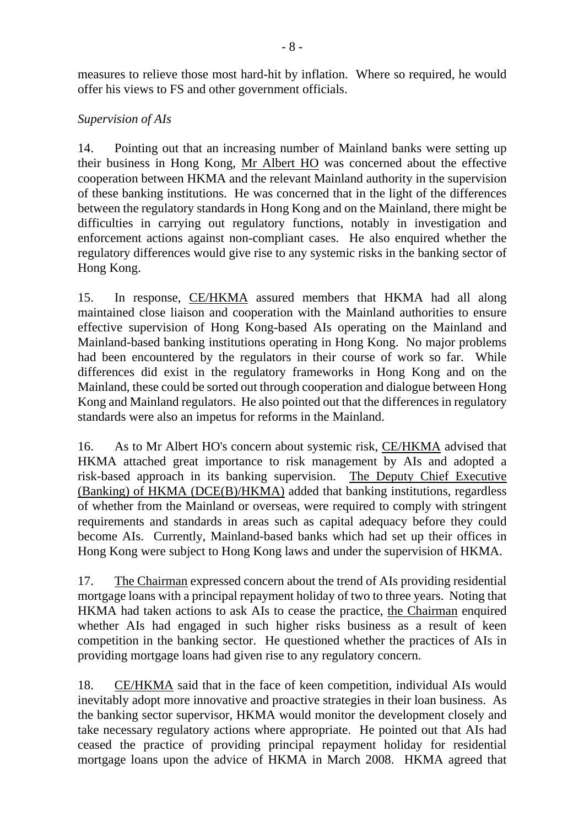measures to relieve those most hard-hit by inflation. Where so required, he would offer his views to FS and other government officials.

### *Supervision of AIs*

14. Pointing out that an increasing number of Mainland banks were setting up their business in Hong Kong, Mr Albert HO was concerned about the effective cooperation between HKMA and the relevant Mainland authority in the supervision of these banking institutions. He was concerned that in the light of the differences between the regulatory standards in Hong Kong and on the Mainland, there might be difficulties in carrying out regulatory functions, notably in investigation and enforcement actions against non-compliant cases. He also enquired whether the regulatory differences would give rise to any systemic risks in the banking sector of Hong Kong.

15. In response, CE/HKMA assured members that HKMA had all along maintained close liaison and cooperation with the Mainland authorities to ensure effective supervision of Hong Kong-based AIs operating on the Mainland and Mainland-based banking institutions operating in Hong Kong. No major problems had been encountered by the regulators in their course of work so far. While differences did exist in the regulatory frameworks in Hong Kong and on the Mainland, these could be sorted out through cooperation and dialogue between Hong Kong and Mainland regulators. He also pointed out that the differences in regulatory standards were also an impetus for reforms in the Mainland.

16. As to Mr Albert HO's concern about systemic risk, CE/HKMA advised that HKMA attached great importance to risk management by AIs and adopted a risk-based approach in its banking supervision. The Deputy Chief Executive (Banking) of HKMA (DCE(B)/HKMA) added that banking institutions, regardless of whether from the Mainland or overseas, were required to comply with stringent requirements and standards in areas such as capital adequacy before they could become AIs. Currently, Mainland-based banks which had set up their offices in Hong Kong were subject to Hong Kong laws and under the supervision of HKMA.

17. The Chairman expressed concern about the trend of AIs providing residential mortgage loans with a principal repayment holiday of two to three years. Noting that HKMA had taken actions to ask AIs to cease the practice, the Chairman enquired whether AIs had engaged in such higher risks business as a result of keen competition in the banking sector. He questioned whether the practices of AIs in providing mortgage loans had given rise to any regulatory concern.

18. CE/HKMA said that in the face of keen competition, individual AIs would inevitably adopt more innovative and proactive strategies in their loan business. As the banking sector supervisor, HKMA would monitor the development closely and take necessary regulatory actions where appropriate. He pointed out that AIs had ceased the practice of providing principal repayment holiday for residential mortgage loans upon the advice of HKMA in March 2008. HKMA agreed that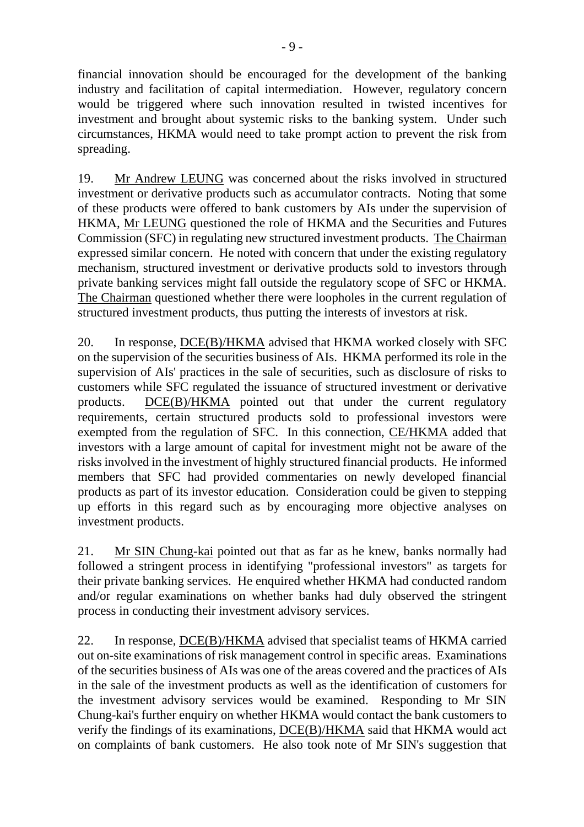financial innovation should be encouraged for the development of the banking industry and facilitation of capital intermediation. However, regulatory concern would be triggered where such innovation resulted in twisted incentives for investment and brought about systemic risks to the banking system. Under such circumstances, HKMA would need to take prompt action to prevent the risk from spreading.

19. Mr Andrew LEUNG was concerned about the risks involved in structured investment or derivative products such as accumulator contracts. Noting that some of these products were offered to bank customers by AIs under the supervision of HKMA, Mr LEUNG questioned the role of HKMA and the Securities and Futures Commission (SFC) in regulating new structured investment products. The Chairman expressed similar concern. He noted with concern that under the existing regulatory mechanism, structured investment or derivative products sold to investors through private banking services might fall outside the regulatory scope of SFC or HKMA. The Chairman questioned whether there were loopholes in the current regulation of structured investment products, thus putting the interests of investors at risk.

20. In response, DCE(B)/HKMA advised that HKMA worked closely with SFC on the supervision of the securities business of AIs. HKMA performed its role in the supervision of AIs' practices in the sale of securities, such as disclosure of risks to customers while SFC regulated the issuance of structured investment or derivative products. DCE(B)/HKMA pointed out that under the current regulatory requirements, certain structured products sold to professional investors were exempted from the regulation of SFC. In this connection, CE/HKMA added that investors with a large amount of capital for investment might not be aware of the risks involved in the investment of highly structured financial products. He informed members that SFC had provided commentaries on newly developed financial products as part of its investor education. Consideration could be given to stepping up efforts in this regard such as by encouraging more objective analyses on investment products.

21. Mr SIN Chung-kai pointed out that as far as he knew, banks normally had followed a stringent process in identifying "professional investors" as targets for their private banking services. He enquired whether HKMA had conducted random and/or regular examinations on whether banks had duly observed the stringent process in conducting their investment advisory services.

22. In response, DCE(B)/HKMA advised that specialist teams of HKMA carried out on-site examinations of risk management control in specific areas. Examinations of the securities business of AIs was one of the areas covered and the practices of AIs in the sale of the investment products as well as the identification of customers for the investment advisory services would be examined. Responding to Mr SIN Chung-kai's further enquiry on whether HKMA would contact the bank customers to verify the findings of its examinations, DCE(B)/HKMA said that HKMA would act on complaints of bank customers. He also took note of Mr SIN's suggestion that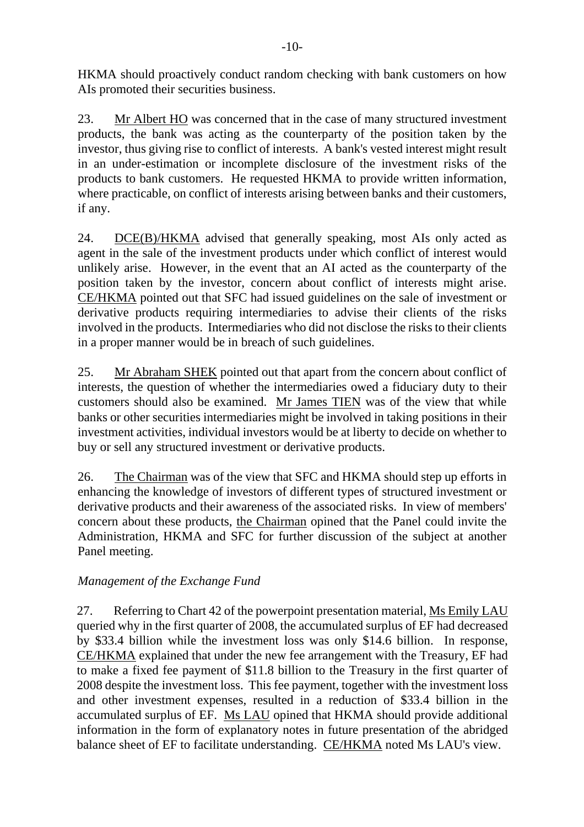HKMA should proactively conduct random checking with bank customers on how AIs promoted their securities business.

23. Mr Albert HO was concerned that in the case of many structured investment products, the bank was acting as the counterparty of the position taken by the investor, thus giving rise to conflict of interests. A bank's vested interest might result in an under-estimation or incomplete disclosure of the investment risks of the products to bank customers. He requested HKMA to provide written information, where practicable, on conflict of interests arising between banks and their customers, if any.

24. DCE(B)/HKMA advised that generally speaking, most AIs only acted as agent in the sale of the investment products under which conflict of interest would unlikely arise. However, in the event that an AI acted as the counterparty of the position taken by the investor, concern about conflict of interests might arise. CE/HKMA pointed out that SFC had issued guidelines on the sale of investment or derivative products requiring intermediaries to advise their clients of the risks involved in the products. Intermediaries who did not disclose the risks to their clients in a proper manner would be in breach of such guidelines.

25. Mr Abraham SHEK pointed out that apart from the concern about conflict of interests, the question of whether the intermediaries owed a fiduciary duty to their customers should also be examined. Mr James TIEN was of the view that while banks or other securities intermediaries might be involved in taking positions in their investment activities, individual investors would be at liberty to decide on whether to buy or sell any structured investment or derivative products.

26. The Chairman was of the view that SFC and HKMA should step up efforts in enhancing the knowledge of investors of different types of structured investment or derivative products and their awareness of the associated risks. In view of members' concern about these products, the Chairman opined that the Panel could invite the Administration, HKMA and SFC for further discussion of the subject at another Panel meeting.

# *Management of the Exchange Fund*

27. Referring to Chart 42 of the powerpoint presentation material, Ms Emily LAU queried why in the first quarter of 2008, the accumulated surplus of EF had decreased by \$33.4 billion while the investment loss was only \$14.6 billion. In response, CE/HKMA explained that under the new fee arrangement with the Treasury, EF had to make a fixed fee payment of \$11.8 billion to the Treasury in the first quarter of 2008 despite the investment loss. This fee payment, together with the investment loss and other investment expenses, resulted in a reduction of \$33.4 billion in the accumulated surplus of EF. Ms LAU opined that HKMA should provide additional information in the form of explanatory notes in future presentation of the abridged balance sheet of EF to facilitate understanding. CE/HKMA noted Ms LAU's view.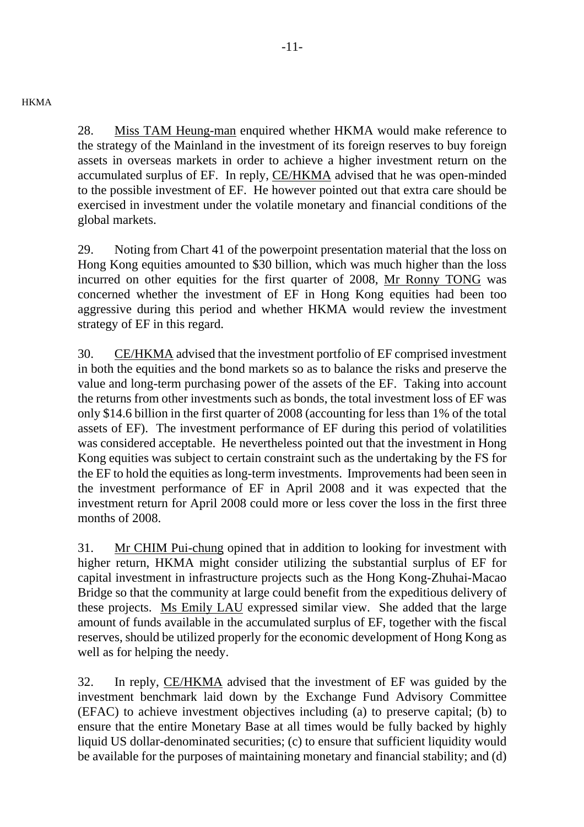#### **HKMA**

28. Miss TAM Heung-man enquired whether HKMA would make reference to the strategy of the Mainland in the investment of its foreign reserves to buy foreign assets in overseas markets in order to achieve a higher investment return on the accumulated surplus of EF. In reply, CE/HKMA advised that he was open-minded to the possible investment of EF. He however pointed out that extra care should be exercised in investment under the volatile monetary and financial conditions of the global markets.

29. Noting from Chart 41 of the powerpoint presentation material that the loss on Hong Kong equities amounted to \$30 billion, which was much higher than the loss incurred on other equities for the first quarter of 2008, Mr Ronny TONG was concerned whether the investment of EF in Hong Kong equities had been too aggressive during this period and whether HKMA would review the investment strategy of EF in this regard.

30. CE/HKMA advised that the investment portfolio of EF comprised investment in both the equities and the bond markets so as to balance the risks and preserve the value and long-term purchasing power of the assets of the EF. Taking into account the returns from other investments such as bonds, the total investment loss of EF was only \$14.6 billion in the first quarter of 2008 (accounting for less than 1% of the total assets of EF). The investment performance of EF during this period of volatilities was considered acceptable. He nevertheless pointed out that the investment in Hong Kong equities was subject to certain constraint such as the undertaking by the FS for the EF to hold the equities as long-term investments. Improvements had been seen in the investment performance of EF in April 2008 and it was expected that the investment return for April 2008 could more or less cover the loss in the first three months of 2008.

31. Mr CHIM Pui-chung opined that in addition to looking for investment with higher return, HKMA might consider utilizing the substantial surplus of EF for capital investment in infrastructure projects such as the Hong Kong-Zhuhai-Macao Bridge so that the community at large could benefit from the expeditious delivery of these projects. Ms Emily LAU expressed similar view. She added that the large amount of funds available in the accumulated surplus of EF, together with the fiscal reserves, should be utilized properly for the economic development of Hong Kong as well as for helping the needy.

32. In reply, CE/HKMA advised that the investment of EF was guided by the investment benchmark laid down by the Exchange Fund Advisory Committee (EFAC) to achieve investment objectives including (a) to preserve capital; (b) to ensure that the entire Monetary Base at all times would be fully backed by highly liquid US dollar-denominated securities; (c) to ensure that sufficient liquidity would be available for the purposes of maintaining monetary and financial stability; and (d)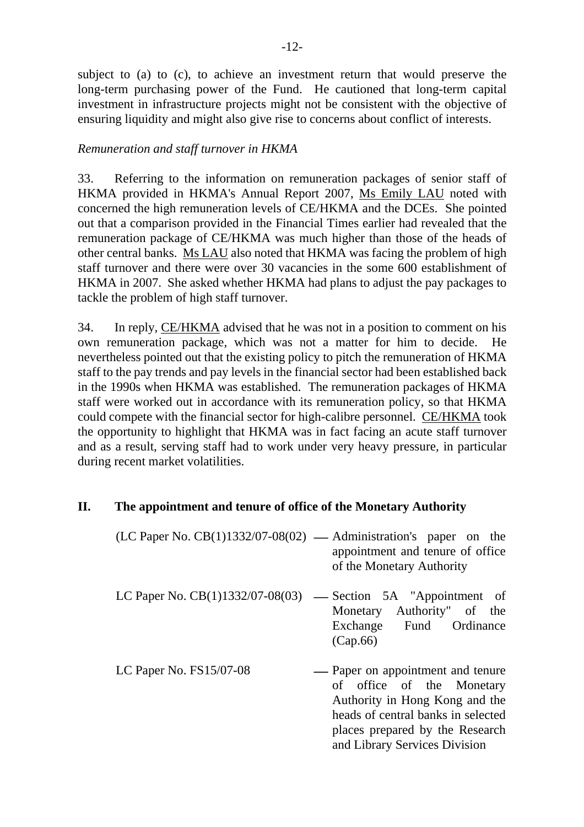subject to (a) to (c), to achieve an investment return that would preserve the long-term purchasing power of the Fund. He cautioned that long-term capital investment in infrastructure projects might not be consistent with the objective of ensuring liquidity and might also give rise to concerns about conflict of interests.

#### *Remuneration and staff turnover in HKMA*

33. Referring to the information on remuneration packages of senior staff of HKMA provided in HKMA's Annual Report 2007, Ms Emily LAU noted with concerned the high remuneration levels of CE/HKMA and the DCEs. She pointed out that a comparison provided in the Financial Times earlier had revealed that the remuneration package of CE/HKMA was much higher than those of the heads of other central banks. Ms LAU also noted that HKMA was facing the problem of high staff turnover and there were over 30 vacancies in the some 600 establishment of HKMA in 2007. She asked whether HKMA had plans to adjust the pay packages to tackle the problem of high staff turnover.

34. In reply, CE/HKMA advised that he was not in a position to comment on his own remuneration package, which was not a matter for him to decide. He nevertheless pointed out that the existing policy to pitch the remuneration of HKMA staff to the pay trends and pay levels in the financial sector had been established back in the 1990s when HKMA was established. The remuneration packages of HKMA staff were worked out in accordance with its remuneration policy, so that HKMA could compete with the financial sector for high-calibre personnel. CE/HKMA took the opportunity to highlight that HKMA was in fact facing an acute staff turnover and as a result, serving staff had to work under very heavy pressure, in particular during recent market volatilities.

#### **II. The appointment and tenure of office of the Monetary Authority**

| $(LC$ Paper No. $CB(1)1332/07-08(02)$ — Administration's paper on the |                                                               |  |  |
|-----------------------------------------------------------------------|---------------------------------------------------------------|--|--|
|                                                                       | appointment and tenure of office<br>of the Monetary Authority |  |  |
|                                                                       |                                                               |  |  |

- LC Paper No.  $CB(1)1332/07-08(03)$  Section 5A "Appointment of Monetary Authority" of the Exchange Fund Ordinance (Cap.66)
- LC Paper No. FS15/07-08⎯ Paper on appointment and tenure of office of the Monetary Authority in Hong Kong and the heads of central banks in selected places prepared by the Research and Library Services Division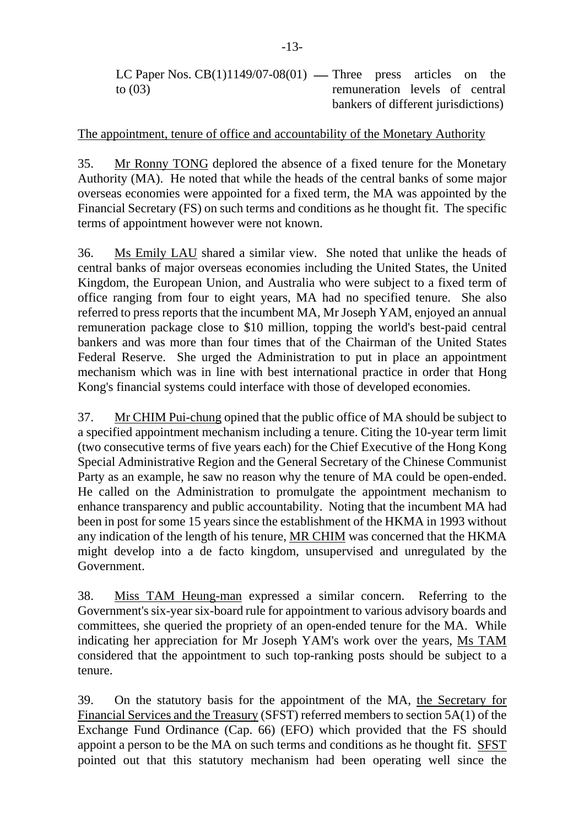LC Paper Nos.  $CB(1)1149/07-08(01)$  — Three press articles on the to (03) remuneration levels of central bankers of different jurisdictions)

The appointment, tenure of office and accountability of the Monetary Authority

35. Mr Ronny TONG deplored the absence of a fixed tenure for the Monetary Authority (MA). He noted that while the heads of the central banks of some major overseas economies were appointed for a fixed term, the MA was appointed by the Financial Secretary (FS) on such terms and conditions as he thought fit. The specific terms of appointment however were not known.

36. Ms Emily LAU shared a similar view. She noted that unlike the heads of central banks of major overseas economies including the United States, the United Kingdom, the European Union, and Australia who were subject to a fixed term of office ranging from four to eight years, MA had no specified tenure. She also referred to press reports that the incumbent MA, Mr Joseph YAM, enjoyed an annual remuneration package close to \$10 million, topping the world's best-paid central bankers and was more than four times that of the Chairman of the United States Federal Reserve. She urged the Administration to put in place an appointment mechanism which was in line with best international practice in order that Hong Kong's financial systems could interface with those of developed economies.

37. Mr CHIM Pui-chung opined that the public office of MA should be subject to a specified appointment mechanism including a tenure. Citing the 10-year term limit (two consecutive terms of five years each) for the Chief Executive of the Hong Kong Special Administrative Region and the General Secretary of the Chinese Communist Party as an example, he saw no reason why the tenure of MA could be open-ended. He called on the Administration to promulgate the appointment mechanism to enhance transparency and public accountability. Noting that the incumbent MA had been in post for some 15 years since the establishment of the HKMA in 1993 without any indication of the length of his tenure, MR CHIM was concerned that the HKMA might develop into a de facto kingdom, unsupervised and unregulated by the Government.

38. Miss TAM Heung-man expressed a similar concern. Referring to the Government's six-year six-board rule for appointment to various advisory boards and committees, she queried the propriety of an open-ended tenure for the MA. While indicating her appreciation for Mr Joseph YAM's work over the years, Ms TAM considered that the appointment to such top-ranking posts should be subject to a tenure.

39. On the statutory basis for the appointment of the MA, the Secretary for Financial Services and the Treasury (SFST) referred members to section 5A(1) of the Exchange Fund Ordinance (Cap. 66) (EFO) which provided that the FS should appoint a person to be the MA on such terms and conditions as he thought fit. SFST pointed out that this statutory mechanism had been operating well since the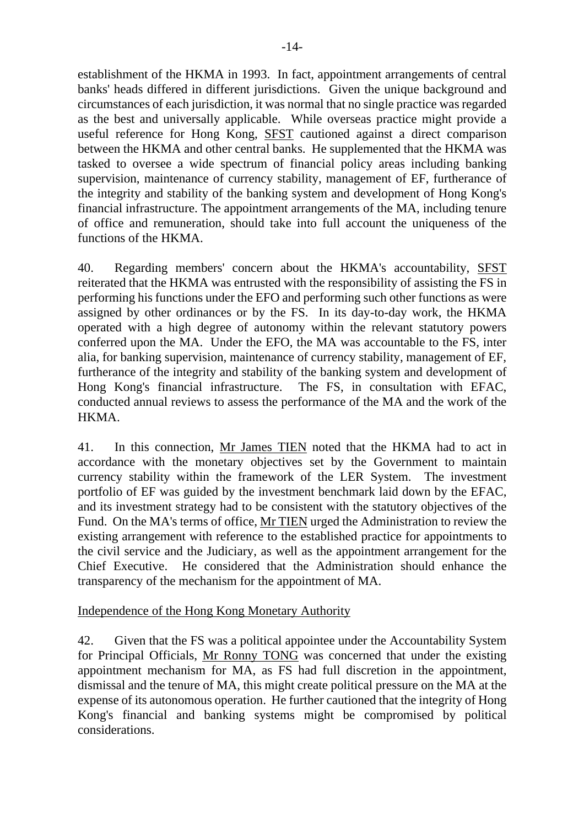establishment of the HKMA in 1993. In fact, appointment arrangements of central banks' heads differed in different jurisdictions. Given the unique background and circumstances of each jurisdiction, it was normal that no single practice was regarded as the best and universally applicable. While overseas practice might provide a useful reference for Hong Kong, SFST cautioned against a direct comparison between the HKMA and other central banks. He supplemented that the HKMA was tasked to oversee a wide spectrum of financial policy areas including banking supervision, maintenance of currency stability, management of EF, furtherance of the integrity and stability of the banking system and development of Hong Kong's financial infrastructure. The appointment arrangements of the MA, including tenure of office and remuneration, should take into full account the uniqueness of the functions of the HKMA.

40. Regarding members' concern about the HKMA's accountability, SFST reiterated that the HKMA was entrusted with the responsibility of assisting the FS in performing his functions under the EFO and performing such other functions as were assigned by other ordinances or by the FS. In its day-to-day work, the HKMA operated with a high degree of autonomy within the relevant statutory powers conferred upon the MA. Under the EFO, the MA was accountable to the FS, inter alia, for banking supervision, maintenance of currency stability, management of EF, furtherance of the integrity and stability of the banking system and development of Hong Kong's financial infrastructure. The FS, in consultation with EFAC, conducted annual reviews to assess the performance of the MA and the work of the HKMA.

41. In this connection, Mr James TIEN noted that the HKMA had to act in accordance with the monetary objectives set by the Government to maintain currency stability within the framework of the LER System. The investment portfolio of EF was guided by the investment benchmark laid down by the EFAC, and its investment strategy had to be consistent with the statutory objectives of the Fund. On the MA's terms of office, Mr TIEN urged the Administration to review the existing arrangement with reference to the established practice for appointments to the civil service and the Judiciary, as well as the appointment arrangement for the Chief Executive. He considered that the Administration should enhance the transparency of the mechanism for the appointment of MA.

#### Independence of the Hong Kong Monetary Authority

42. Given that the FS was a political appointee under the Accountability System for Principal Officials, Mr Ronny TONG was concerned that under the existing appointment mechanism for MA, as FS had full discretion in the appointment, dismissal and the tenure of MA, this might create political pressure on the MA at the expense of its autonomous operation. He further cautioned that the integrity of Hong Kong's financial and banking systems might be compromised by political considerations.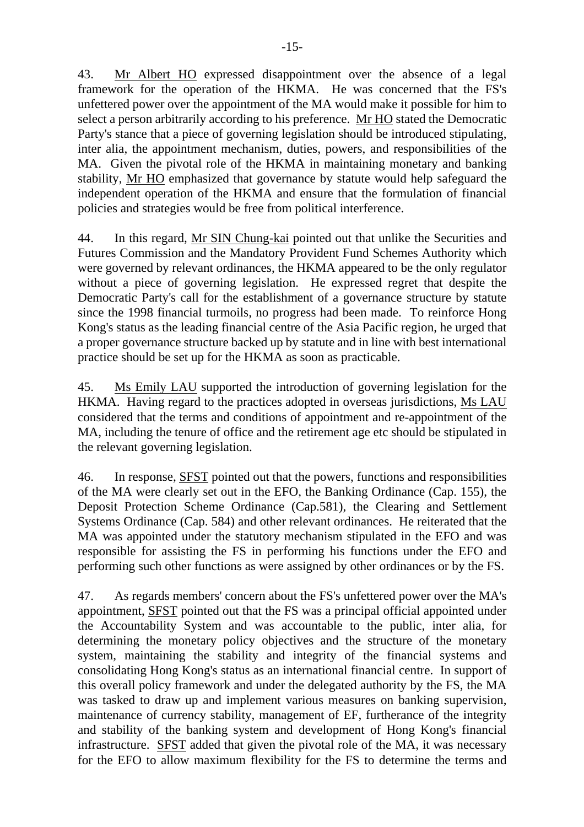43. Mr Albert HO expressed disappointment over the absence of a legal framework for the operation of the HKMA. He was concerned that the FS's unfettered power over the appointment of the MA would make it possible for him to select a person arbitrarily according to his preference. Mr HO stated the Democratic Party's stance that a piece of governing legislation should be introduced stipulating, inter alia, the appointment mechanism, duties, powers, and responsibilities of the MA. Given the pivotal role of the HKMA in maintaining monetary and banking stability, Mr HO emphasized that governance by statute would help safeguard the independent operation of the HKMA and ensure that the formulation of financial policies and strategies would be free from political interference.

44. In this regard, Mr SIN Chung-kai pointed out that unlike the Securities and Futures Commission and the Mandatory Provident Fund Schemes Authority which were governed by relevant ordinances, the HKMA appeared to be the only regulator without a piece of governing legislation. He expressed regret that despite the Democratic Party's call for the establishment of a governance structure by statute since the 1998 financial turmoils, no progress had been made. To reinforce Hong Kong's status as the leading financial centre of the Asia Pacific region, he urged that a proper governance structure backed up by statute and in line with best international practice should be set up for the HKMA as soon as practicable.

45. Ms Emily LAU supported the introduction of governing legislation for the HKMA. Having regard to the practices adopted in overseas jurisdictions, Ms LAU considered that the terms and conditions of appointment and re-appointment of the MA, including the tenure of office and the retirement age etc should be stipulated in the relevant governing legislation.

46. In response, SFST pointed out that the powers, functions and responsibilities of the MA were clearly set out in the EFO, the Banking Ordinance (Cap. 155), the Deposit Protection Scheme Ordinance (Cap.581), the Clearing and Settlement Systems Ordinance (Cap. 584) and other relevant ordinances. He reiterated that the MA was appointed under the statutory mechanism stipulated in the EFO and was responsible for assisting the FS in performing his functions under the EFO and performing such other functions as were assigned by other ordinances or by the FS.

47. As regards members' concern about the FS's unfettered power over the MA's appointment, SFST pointed out that the FS was a principal official appointed under the Accountability System and was accountable to the public, inter alia, for determining the monetary policy objectives and the structure of the monetary system, maintaining the stability and integrity of the financial systems and consolidating Hong Kong's status as an international financial centre. In support of this overall policy framework and under the delegated authority by the FS, the MA was tasked to draw up and implement various measures on banking supervision, maintenance of currency stability, management of EF, furtherance of the integrity and stability of the banking system and development of Hong Kong's financial infrastructure. SFST added that given the pivotal role of the MA, it was necessary for the EFO to allow maximum flexibility for the FS to determine the terms and